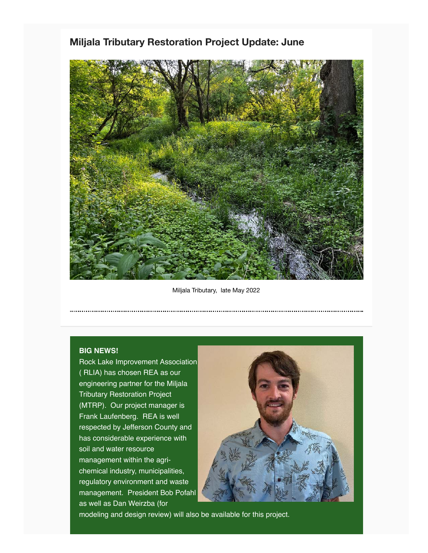## **Miljala Tributary Restoration Project Update: June**



Miljala Tributary, late May 2022

## **BIG NEWS!**

Rock Lake Improvement Association ( RLIA) has chosen REA as our engineering partner for the Miljala Tributary Restoration Project (MTRP). Our project manager is Frank Laufenberg. REA is well respected by Jefferson County and has considerable experience with soil and water resource management within the agrichemical industry, municipalities, regulatory environment and waste management. President Bob Pofahl as well as Dan Weirzba (for



modeling and design review) will also be available for this project.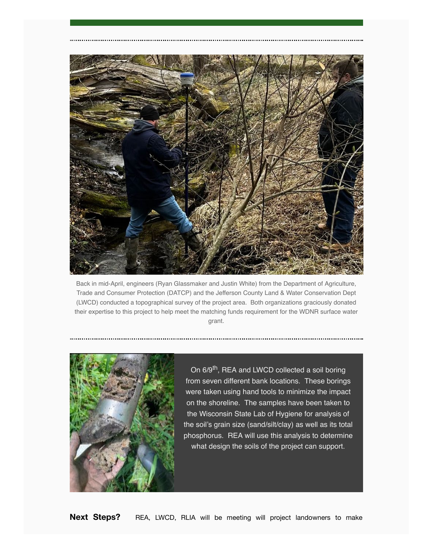

Back in mid-April, engineers (Ryan Glassmaker and Justin White) from the Department of Agriculture, Trade and Consumer Protection (DATCP) and the Jefferson County Land & Water Conservation Dept (LWCD) conducted a topographical survey of the project area. Both organizations graciously donated their expertise to this project to help meet the matching funds requirement for the WDNR surface water grant.



On 6/9<sup>th</sup>, REA and LWCD collected a soil boring from seven different bank locations. These borings were taken using hand tools to minimize the impact on the shoreline. The samples have been taken to the Wisconsin State Lab of Hygiene for analysis of the soil's grain size (sand/silt/clay) as well as its total phosphorus. REA will use this analysis to determine what design the soils of the project can support.

**Next Steps?**  REA, LWCD, RLIA will be meeting will project landowners to make